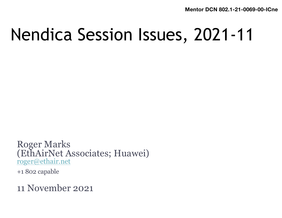**Mentor DCN 802.1-21-0069-00**1**-ICne**

## Nendica Session Issues, 2021-11

Roger Marks (EthAirNet Associates; Huawei) [roger@ethair.net](mailto:roger@ethair.net)

+1 802 capable

11 November 2021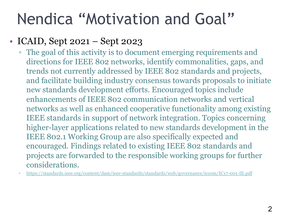## Nendica "Motivation and Goal"

#### • ICAID, Sept 2021 – Sept 2023

- The goal of this activity is to document emerging requirements and directions for IEEE 802 networks, identify commonalities, gaps, and trends not currently addressed by IEEE 802 standards and projects, and facilitate building industry consensus towards proposals to initiate new standards development efforts. Encouraged topics include enhancements of IEEE 802 communication networks and vertical networks as well as enhanced cooperative functionality among existing IEEE standards in support of network integration. Topics concerning higher-layer applications related to new standards development in the IEEE 802.1 Working Group are also specifically expected and encouraged. Findings related to existing IEEE 802 standards and projects are forwarded to the responsible working groups for further considerations.
- <https://standards.ieee.org/content/dam/ieee-standards/standards/web/governance/iccom/IC17-001-IE.pdf>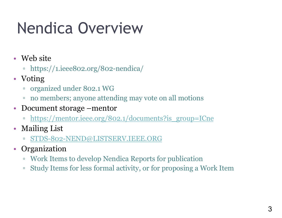## Nendica Overview

- Web site
	- https://1.ieee802.org/802-nendica/
- Voting
	- organized under 802.1 WG
	- no members; anyone attending may vote on all motions
- Document storage –mentor
	- [https://mentor.ieee.org/802.1/documents?is\\_group=ICne](https://mentor.ieee.org/802.1/documents?is_group=ICne)
- Mailing List
	- [STDS-802-NEND@LISTSERV.IEEE.ORG](mailto:STDS-802-NEND@LISTSERV.IEEE.ORG)
- Organization
	- Work Items to develop Nendica Reports for publication
	- Study Items for less formal activity, or for proposing a Work Item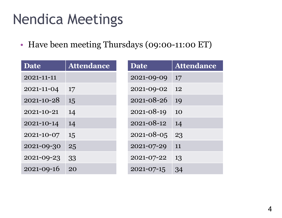#### Nendica Meetings

• Have been meeting Thursdays (09:00-11:00 ET)

| <b>Date</b>      | <b>Attendance</b> | <b>Date</b> | <b>Attendance</b> |
|------------------|-------------------|-------------|-------------------|
| 2021-11-11       |                   | 2021-09-09  | 17                |
| 2021-11-04       | 17                | 2021-09-02  | 12                |
| $2021 - 10 - 28$ | 15                | 2021-08-26  | 19                |
| 2021-10-21       | 14                | 2021-08-19  | <b>10</b>         |
| 2021-10-14       | 14                | 2021-08-12  | 14                |
| 2021-10-07       | 15                | 2021-08-05  | 23                |
| 2021-09-30       | 25                | 2021-07-29  | 11                |
| 2021-09-23       | 33                | 2021-07-22  | 13                |
| $2021 - 09 - 16$ | 20                | 2021-07-15  | 34                |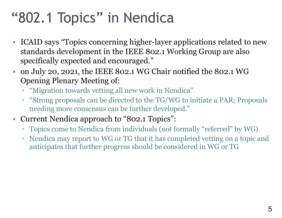### "802.1 Topics" in Nendica

- ICAID says "Topics concerning higher-layer applications related to new standards development in the IEEE 802.1 Working Group are also specifically expected and encouraged."
- on July 20, 2021, the IEEE 802.1 WG Chair notified the 802.1 WG Opening Plenary Meeting of:
	- "Migration towards vetting all new work in Nendica"
	- "Strong proposals can be directed to the TG/WG to initiate a PAR; Proposals needing more consensus can be further developed."
- Current Nendica approach to "802.1 Topics":
	- Topics come to Nendica from individuals (not formally "referred" by WG)
	- Nendica may report to WG or TG that it has completed vetting on a topic and anticipates that further progress should be considered in WG or TG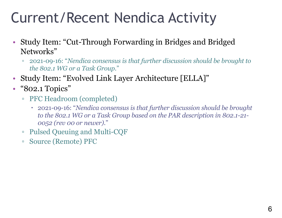#### Current/Recent Nendica Activity

- Study Item: "Cut-Through Forwarding in Bridges and Bridged Networks"
	- 2021-09-16: "*Nendica consensus is that further discussion should be brought to the 802.1 WG or a Task Group*."
- Study Item: "Evolved Link Layer Architecture [ELLA]"
- "802.1 Topics"
	- PFC Headroom (completed)
		- 2021-09-16: "*Nendica consensus is that further discussion should be brought to the 802.1 WG or a Task Group based on the PAR description in 802.1-21- 0052 (rev 00 or newer)*."
	- Pulsed Queuing and Multi-CQF
	- Source (Remote) PFC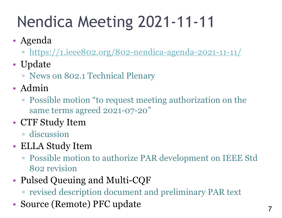# Nendica Meeting 2021-11-11

- Agenda
	- □ <https://1.ieee802.org/802-nendica-agenda-2021-11-11/>
- Update
	- News on 802.1 Technical Plenary
- Admin
	- Possible motion "to request meeting authorization on the same terms agreed 2021-07-20"
- CTF Study Item
	- discussion
- ELLA Study Item
	- Possible motion to authorize PAR development on IEEE Std 802 revision
- Pulsed Queuing and Multi-CQF
	- revised description document and preliminary PAR text
- Source (Remote) PFC update